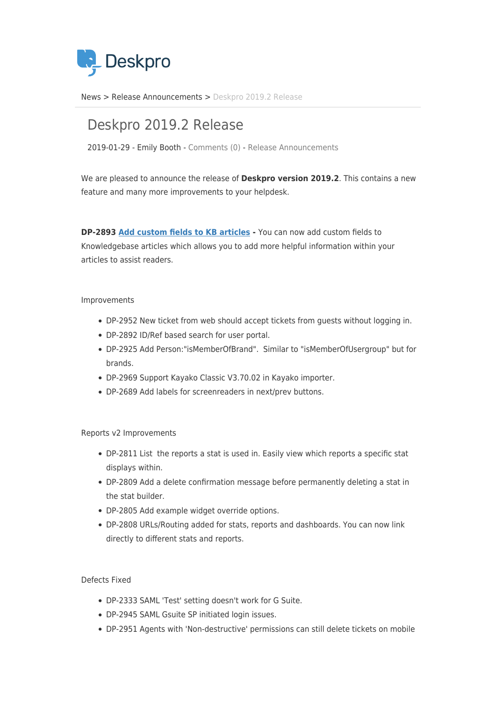

[News](https://support.deskpro.com/zh-CN/news) > [Release Announcements](https://support.deskpro.com/zh-CN/news/release-announcements) > [Deskpro 2019.2 Release](https://support.deskpro.com/zh-CN/news/posts/deskpro-2019-2-release)

## Deskpro 2019.2 Release

2019-01-29 - Emily Booth - [Comments \(0\)](#page--1-0) - [Release Announcements](https://support.deskpro.com/zh-CN/news/release-announcements)

We are pleased to announce the release of **Deskpro version 2019.2**. This contains a new feature and many more improvements to your helpdesk.

**DP-2893 [Add custom fields to KB articles](https://support.deskpro.com/news/posts/741) -** You can now add custom fields to Knowledgebase articles which allows you to add more helpful information within your articles to assist readers.

## Improvements

- DP-2952 New ticket from web should accept tickets from guests without logging in.
- DP-2892 ID/Ref based search for user portal.
- DP-2925 Add Person:"isMemberOfBrand". Similar to "isMemberOfUsergroup" but for brands.
- DP-2969 Support Kayako Classic V3.70.02 in Kayako importer.
- DP-2689 Add labels for screenreaders in next/prev buttons.

## Reports v2 Improvements

- DP-2811 List the reports a stat is used in. Easily view which reports a specific stat displays within.
- DP-2809 Add a delete confirmation message before permanently deleting a stat in the stat builder.
- DP-2805 Add example widget override options.
- DP-2808 URLs/Routing added for stats, reports and dashboards. You can now link directly to different stats and reports.

## Defects Fixed

- DP-2333 SAML 'Test' setting doesn't work for G Suite.
- DP-2945 SAML Gsuite SP initiated login issues.
- DP-2951 Agents with 'Non-destructive' permissions can still delete tickets on mobile